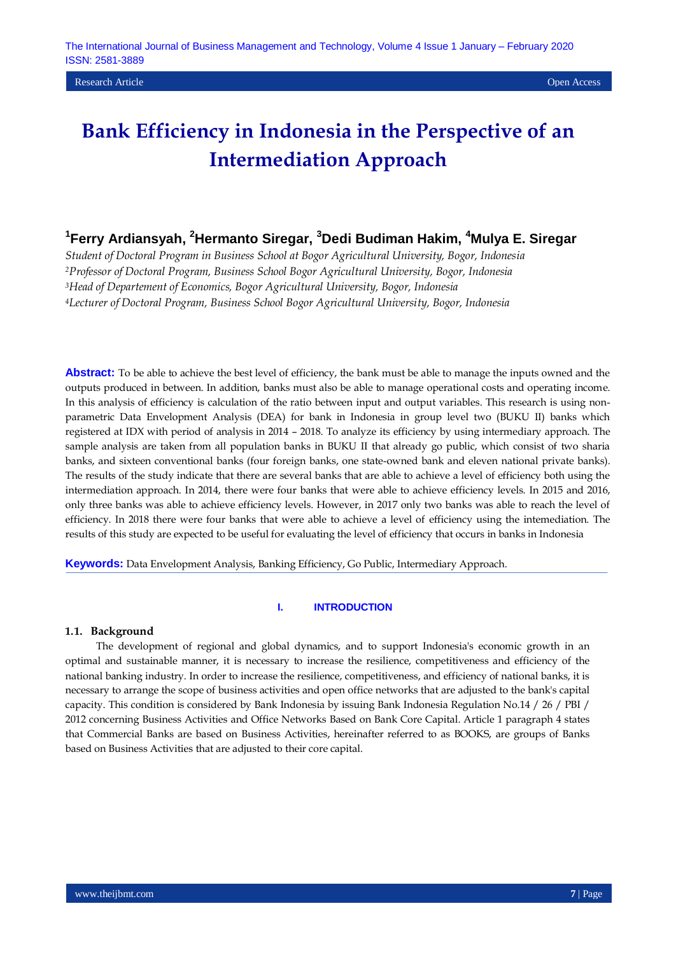# **1 Ferry Ardiansyah, <sup>2</sup>Hermanto Siregar, <sup>3</sup>Dedi Budiman Hakim, <sup>4</sup>Mulya E. Siregar**

*Student of Doctoral Program in Business School at Bogor Agricultural University, Bogor, Indonesia Professor of Doctoral Program, Business School Bogor Agricultural University, Bogor, Indonesia Head of Departement of Economics, Bogor Agricultural University, Bogor, Indonesia Lecturer of Doctoral Program, Business School Bogor Agricultural University, Bogor, Indonesia*

**Abstract:** To be able to achieve the best level of efficiency, the bank must be able to manage the inputs owned and the outputs produced in between. In addition, banks must also be able to manage operational costs and operating income. In this analysis of efficiency is calculation of the ratio between input and output variables. This research is using nonparametric Data Envelopment Analysis (DEA) for bank in Indonesia in group level two (BUKU II) banks which registered at IDX with period of analysis in 2014 – 2018. To analyze its efficiency by using intermediary approach. The sample analysis are taken from all population banks in BUKU II that already go public, which consist of two sharia banks, and sixteen conventional banks (four foreign banks, one state-owned bank and eleven national private banks). The results of the study indicate that there are several banks that are able to achieve a level of efficiency both using the intermediation approach. In 2014, there were four banks that were able to achieve efficiency levels. In 2015 and 2016, only three banks was able to achieve efficiency levels. However, in 2017 only two banks was able to reach the level of efficiency. In 2018 there were four banks that were able to achieve a level of efficiency using the intemediation. The results of this study are expected to be useful for evaluating the level of efficiency that occurs in banks in Indonesia

**Keywords:** Data Envelopment Analysis, Banking Efficiency, Go Public, Intermediary Approach.

### **I. INTRODUCTION**

#### **1.1. Background**

The development of regional and global dynamics, and to support Indonesia's economic growth in an optimal and sustainable manner, it is necessary to increase the resilience, competitiveness and efficiency of the national banking industry. In order to increase the resilience, competitiveness, and efficiency of national banks, it is necessary to arrange the scope of business activities and open office networks that are adjusted to the bank's capital capacity. This condition is considered by Bank Indonesia by issuing Bank Indonesia Regulation No.14 / 26 / PBI / 2012 concerning Business Activities and Office Networks Based on Bank Core Capital. Article 1 paragraph 4 states that Commercial Banks are based on Business Activities, hereinafter referred to as BOOKS, are groups of Banks based on Business Activities that are adjusted to their core capital.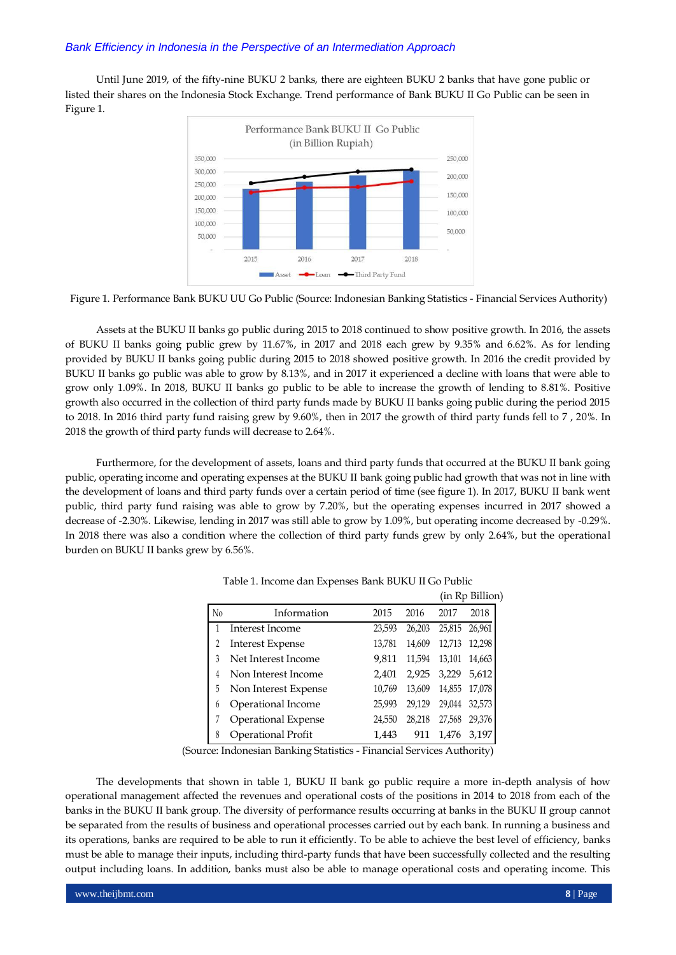Until June 2019, of the fifty-nine BUKU 2 banks, there are eighteen BUKU 2 banks that have gone public or listed their shares on the Indonesia Stock Exchange. Trend performance of Bank BUKU II Go Public can be seen in Figure 1.



Figure 1. Performance Bank BUKU UU Go Public (Source: Indonesian Banking Statistics - Financial Services Authority)

Assets at the BUKU II banks go public during 2015 to 2018 continued to show positive growth. In 2016, the assets of BUKU II banks going public grew by 11.67%, in 2017 and 2018 each grew by 9.35% and 6.62%. As for lending provided by BUKU II banks going public during 2015 to 2018 showed positive growth. In 2016 the credit provided by BUKU II banks go public was able to grow by 8.13%, and in 2017 it experienced a decline with loans that were able to grow only 1.09%. In 2018, BUKU II banks go public to be able to increase the growth of lending to 8.81%. Positive growth also occurred in the collection of third party funds made by BUKU II banks going public during the period 2015 to 2018. In 2016 third party fund raising grew by 9.60%, then in 2017 the growth of third party funds fell to 7 , 20%. In 2018 the growth of third party funds will decrease to 2.64%.

Furthermore, for the development of assets, loans and third party funds that occurred at the BUKU II bank going public, operating income and operating expenses at the BUKU II bank going public had growth that was not in line with the development of loans and third party funds over a certain period of time (see figure 1). In 2017, BUKU II bank went public, third party fund raising was able to grow by 7.20%, but the operating expenses incurred in 2017 showed a decrease of -2.30%. Likewise, lending in 2017 was still able to grow by 1.09%, but operating income decreased by -0.29%. In 2018 there was also a condition where the collection of third party funds grew by only 2.64%, but the operational burden on BUKU II banks grew by 6.56%.

|                |                            |        |        |        | (in Rp Billion) |
|----------------|----------------------------|--------|--------|--------|-----------------|
| N <sub>0</sub> | Information                | 2015   | 2016   | 2017   | 2018            |
|                | Interest Income            | 23,593 | 26,203 | 25,815 | 26.961          |
|                | Interest Expense           | 13,781 | 14,609 | 12,713 | 12,298          |
|                | Net Interest Income        | 9.811  | 11,594 | 13,101 | 14,663          |
|                | Non Interest Income        | 2,401  | 2,925  | 3,229  | 5,612           |
| 5              | Non Interest Expense       | 10.769 | 13,609 | 14,855 | 17,078          |
| 6              | Operational Income         | 25,993 | 29,129 | 29,044 | 32,573          |
|                | <b>Operational Expense</b> | 24,550 | 28.218 | 27,568 | 29,376          |
| 8              | Operational Profit         | 1.443  | 911    | 1.476  | 3.197           |

Table 1. Income dan Expenses Bank BUKU II Go Public

(Source: Indonesian Banking Statistics - Financial Services Authority)

The developments that shown in table 1, BUKU II bank go public require a more in-depth analysis of how operational management affected the revenues and operational costs of the positions in 2014 to 2018 from each of the banks in the BUKU II bank group. The diversity of performance results occurring at banks in the BUKU II group cannot be separated from the results of business and operational processes carried out by each bank. In running a business and its operations, banks are required to be able to run it efficiently. To be able to achieve the best level of efficiency, banks must be able to manage their inputs, including third-party funds that have been successfully collected and the resulting output including loans. In addition, banks must also be able to manage operational costs and operating income. This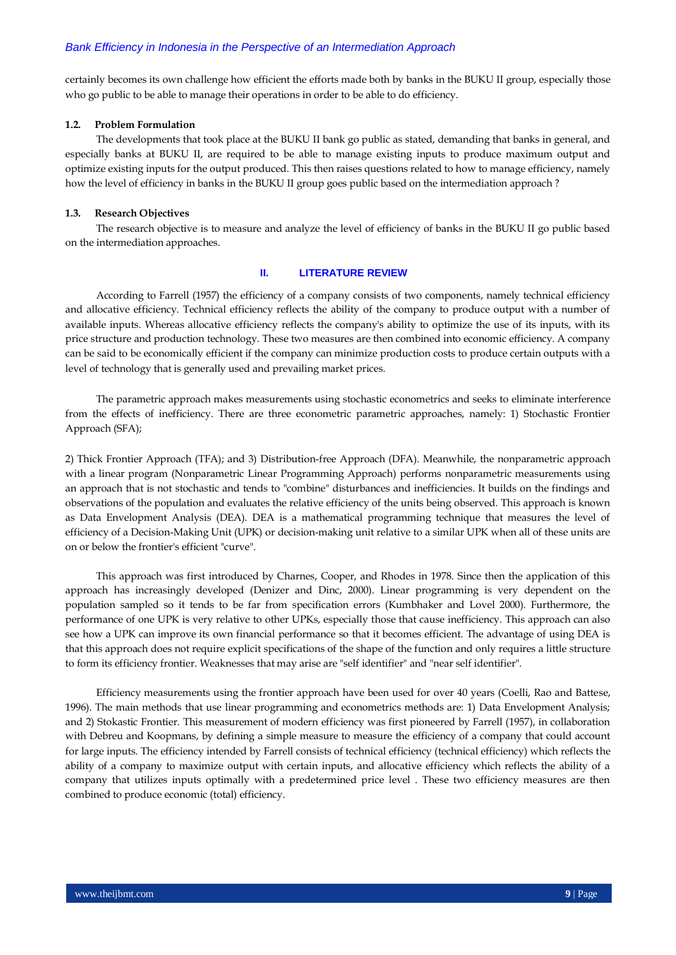certainly becomes its own challenge how efficient the efforts made both by banks in the BUKU II group, especially those who go public to be able to manage their operations in order to be able to do efficiency.

#### **1.2. Problem Formulation**

The developments that took place at the BUKU II bank go public as stated, demanding that banks in general, and especially banks at BUKU II, are required to be able to manage existing inputs to produce maximum output and optimize existing inputs for the output produced. This then raises questions related to how to manage efficiency, namely how the level of efficiency in banks in the BUKU II group goes public based on the intermediation approach ?

#### **1.3. Research Objectives**

The research objective is to measure and analyze the level of efficiency of banks in the BUKU II go public based on the intermediation approaches.

#### **II. LITERATURE REVIEW**

According to Farrell (1957) the efficiency of a company consists of two components, namely technical efficiency and allocative efficiency. Technical efficiency reflects the ability of the company to produce output with a number of available inputs. Whereas allocative efficiency reflects the company's ability to optimize the use of its inputs, with its price structure and production technology. These two measures are then combined into economic efficiency. A company can be said to be economically efficient if the company can minimize production costs to produce certain outputs with a level of technology that is generally used and prevailing market prices.

The parametric approach makes measurements using stochastic econometrics and seeks to eliminate interference from the effects of inefficiency. There are three econometric parametric approaches, namely: 1) Stochastic Frontier Approach (SFA);

2) Thick Frontier Approach (TFA); and 3) Distribution-free Approach (DFA). Meanwhile, the nonparametric approach with a linear program (Nonparametric Linear Programming Approach) performs nonparametric measurements using an approach that is not stochastic and tends to "combine" disturbances and inefficiencies. It builds on the findings and observations of the population and evaluates the relative efficiency of the units being observed. This approach is known as Data Envelopment Analysis (DEA). DEA is a mathematical programming technique that measures the level of efficiency of a Decision-Making Unit (UPK) or decision-making unit relative to a similar UPK when all of these units are on or below the frontier's efficient "curve".

This approach was first introduced by Charnes, Cooper, and Rhodes in 1978. Since then the application of this approach has increasingly developed (Denizer and Dinc, 2000). Linear programming is very dependent on the population sampled so it tends to be far from specification errors (Kumbhaker and Lovel 2000). Furthermore, the performance of one UPK is very relative to other UPKs, especially those that cause inefficiency. This approach can also see how a UPK can improve its own financial performance so that it becomes efficient. The advantage of using DEA is that this approach does not require explicit specifications of the shape of the function and only requires a little structure to form its efficiency frontier. Weaknesses that may arise are "self identifier" and "near self identifier".

Efficiency measurements using the frontier approach have been used for over 40 years (Coelli, Rao and Battese, 1996). The main methods that use linear programming and econometrics methods are: 1) Data Envelopment Analysis; and 2) Stokastic Frontier. This measurement of modern efficiency was first pioneered by Farrell (1957), in collaboration with Debreu and Koopmans, by defining a simple measure to measure the efficiency of a company that could account for large inputs. The efficiency intended by Farrell consists of technical efficiency (technical efficiency) which reflects the ability of a company to maximize output with certain inputs, and allocative efficiency which reflects the ability of a company that utilizes inputs optimally with a predetermined price level . These two efficiency measures are then combined to produce economic (total) efficiency.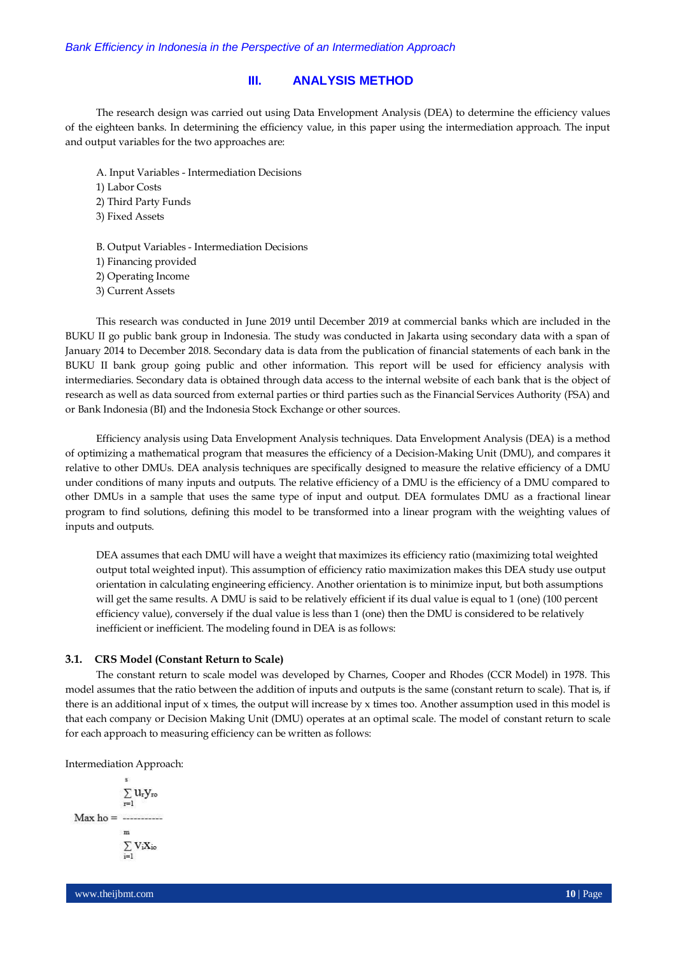# **III. ANALYSIS METHOD**

The research design was carried out using Data Envelopment Analysis (DEA) to determine the efficiency values of the eighteen banks. In determining the efficiency value, in this paper using the intermediation approach. The input and output variables for the two approaches are:

A. Input Variables - Intermediation Decisions

1) Labor Costs

2) Third Party Funds

3) Fixed Assets

B. Output Variables - Intermediation Decisions

1) Financing provided

2) Operating Income

3) Current Assets

This research was conducted in June 2019 until December 2019 at commercial banks which are included in the BUKU II go public bank group in Indonesia. The study was conducted in Jakarta using secondary data with a span of January 2014 to December 2018. Secondary data is data from the publication of financial statements of each bank in the BUKU II bank group going public and other information. This report will be used for efficiency analysis with intermediaries. Secondary data is obtained through data access to the internal website of each bank that is the object of research as well as data sourced from external parties or third parties such as the Financial Services Authority (FSA) and or Bank Indonesia (BI) and the Indonesia Stock Exchange or other sources.

Efficiency analysis using Data Envelopment Analysis techniques. Data Envelopment Analysis (DEA) is a method of optimizing a mathematical program that measures the efficiency of a Decision-Making Unit (DMU), and compares it relative to other DMUs. DEA analysis techniques are specifically designed to measure the relative efficiency of a DMU under conditions of many inputs and outputs. The relative efficiency of a DMU is the efficiency of a DMU compared to other DMUs in a sample that uses the same type of input and output. DEA formulates DMU as a fractional linear program to find solutions, defining this model to be transformed into a linear program with the weighting values of inputs and outputs.

DEA assumes that each DMU will have a weight that maximizes its efficiency ratio (maximizing total weighted output total weighted input). This assumption of efficiency ratio maximization makes this DEA study use output orientation in calculating engineering efficiency. Another orientation is to minimize input, but both assumptions will get the same results. A DMU is said to be relatively efficient if its dual value is equal to 1 (one) (100 percent efficiency value), conversely if the dual value is less than 1 (one) then the DMU is considered to be relatively inefficient or inefficient. The modeling found in DEA is as follows:

#### **3.1. CRS Model (Constant Return to Scale)**

The constant return to scale model was developed by Charnes, Cooper and Rhodes (CCR Model) in 1978. This model assumes that the ratio between the addition of inputs and outputs is the same (constant return to scale). That is, if there is an additional input of x times, the output will increase by x times too. Another assumption used in this model is that each company or Decision Making Unit (DMU) operates at an optimal scale. The model of constant return to scale for each approach to measuring efficiency can be written as follows:

Intermediation Approach:

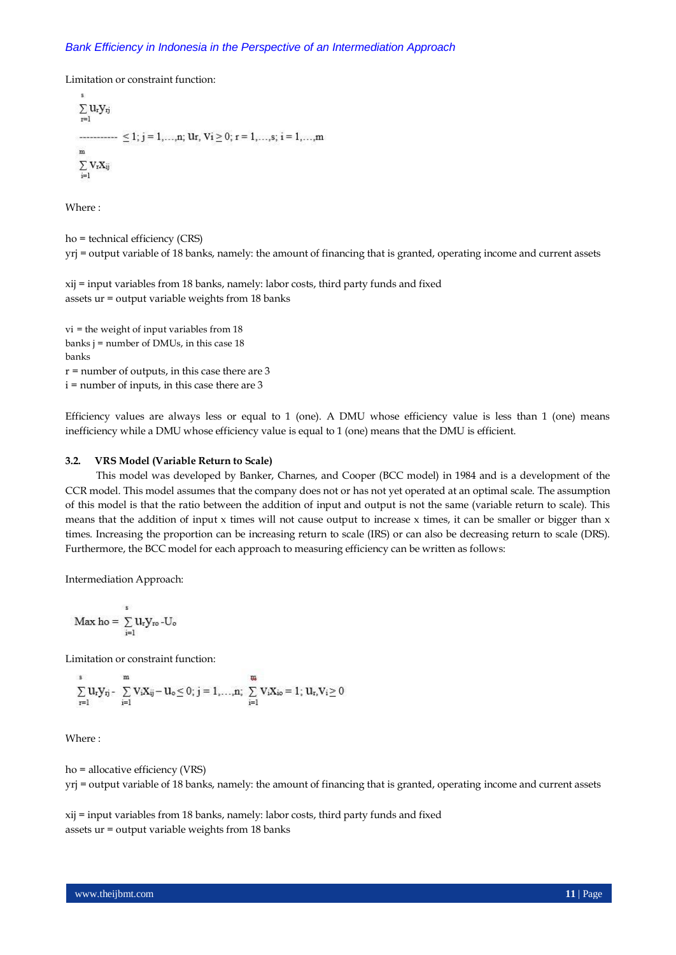Limitation or constraint function:

 $\sum u_r y_{rj}$  $r=1$  $\ldots$  < 1; j = 1, ...,n; Ur, Vi > 0; r = 1, ...,s; i = 1, ...,m  $\overline{m}$  $\sum$  VrXij

Where :

ho = technical efficiency (CRS) yrj = output variable of 18 banks, namely: the amount of financing that is granted, operating income and current assets

xij = input variables from 18 banks, namely: labor costs, third party funds and fixed assets ur = output variable weights from 18 banks

vi = the weight of input variables from 18 banks  $j =$  number of DMUs, in this case 18 banks  $r =$  number of outputs, in this case there are 3 i = number of inputs, in this case there are 3

Efficiency values are always less or equal to 1 (one). A DMU whose efficiency value is less than 1 (one) means inefficiency while a DMU whose efficiency value is equal to 1 (one) means that the DMU is efficient.

#### **3.2. VRS Model (Variable Return to Scale)**

This model was developed by Banker, Charnes, and Cooper (BCC model) in 1984 and is a development of the CCR model. This model assumes that the company does not or has not yet operated at an optimal scale. The assumption of this model is that the ratio between the addition of input and output is not the same (variable return to scale). This means that the addition of input  $x$  times will not cause output to increase  $x$  times, it can be smaller or bigger than  $x$ times. Increasing the proportion can be increasing return to scale (IRS) or can also be decreasing return to scale (DRS). Furthermore, the BCC model for each approach to measuring efficiency can be written as follows:

Intermediation Approach:

$$
Max\;ho=\sum_{i=1}^s u_r y_{ro}\,\text{-}U_o
$$

Limitation or constraint function:

$$
\sum_{r=1}^s u_r y_{rj} - \sum_{i=1}^m v_i x_{ij} - u_o \leq 0; \, j=1,\ldots,n; \, \sum_{i=1}^m v_i x_{io} = 1; \, u_r, v_i \geq 0
$$

Where :

ho = allocative efficiency (VRS) yrj = output variable of 18 banks, namely: the amount of financing that is granted, operating income and current assets

xij = input variables from 18 banks, namely: labor costs, third party funds and fixed assets ur = output variable weights from 18 banks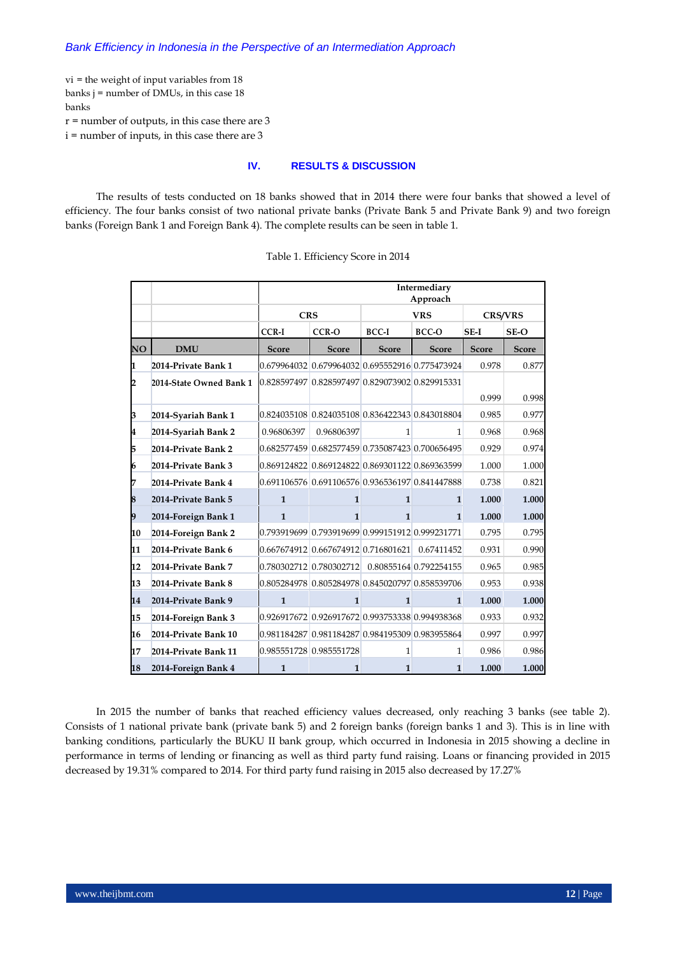vi = the weight of input variables from 18 banks j = number of DMUs, in this case 18 banks

 $r =$  number of outputs, in this case there are 3

i = number of inputs, in this case there are 3

# **IV. RESULTS & DISCUSSION**

The results of tests conducted on 18 banks showed that in 2014 there were four banks that showed a level of efficiency. The four banks consist of two national private banks (Private Bank 5 and Private Bank 9) and two foreign banks (Foreign Bank 1 and Foreign Bank 4). The complete results can be seen in table 1.

|    |                         | Intermediary<br>Approach                        |              |                       |                        |                |              |  |  |
|----|-------------------------|-------------------------------------------------|--------------|-----------------------|------------------------|----------------|--------------|--|--|
|    |                         | <b>CRS</b><br><b>VRS</b>                        |              |                       |                        | <b>CRS/VRS</b> |              |  |  |
|    |                         | <b>CCR-I</b>                                    | CCR-O        | <b>BCC-I</b><br>BCC-O |                        | SE-I           |              |  |  |
| NO | <b>DMU</b>              | <b>Score</b>                                    | <b>Score</b> | <b>Score</b>          | <b>Score</b>           | <b>Score</b>   | <b>Score</b> |  |  |
| 1  | 2014-Private Bank 1     | 0.679964032 0.679964032 0.695552916 0.775473924 |              |                       |                        | 0.978          | 0.877        |  |  |
| 2  | 2014-State Owned Bank 1 | 0.828597497 0.828597497 0.829073902 0.829915331 |              |                       |                        |                |              |  |  |
|    |                         |                                                 |              |                       |                        | 0.999          | 0.998        |  |  |
| 3  | 2014-Syariah Bank 1     | 0.824035108 0.824035108 0.836422343 0.843018804 |              |                       |                        | 0.985          | 0.977        |  |  |
| 4  | 2014-Syariah Bank 2     | 0.96806397                                      | 0.96806397   | 1                     | $\mathbf{1}$           | 0.968          | 0.968        |  |  |
| 5  | 2014-Private Bank 2     | 0.682577459 0.682577459 0.735087423 0.700656495 |              |                       |                        | 0.929          | 0.974        |  |  |
| 6  | 2014-Private Bank 3     | 0.869124822 0.869124822 0.869301122 0.869363599 |              |                       |                        | 1.000          | 1.000        |  |  |
| 7  | 2014-Private Bank 4     | 0.691106576 0.691106576 0.936536197 0.841447888 |              |                       |                        | 0.738          | 0.821        |  |  |
| 8  | 2014-Private Bank 5     | $\mathbf{1}$                                    | $\mathbf{1}$ | $\mathbf{1}$          | $\mathbf{1}$           | 1.000          | 1.000        |  |  |
| 9  | 2014-Foreign Bank 1     | $\mathbf{1}$                                    | $\mathbf{1}$ | $\mathbf{1}$          | 1                      | 1.000          | 1.000        |  |  |
| 10 | 2014-Foreign Bank 2     | 0.793919699 0.793919699 0.999151912 0.999231771 |              |                       |                        | 0.795          | 0.795        |  |  |
| 11 | 2014-Private Bank 6     | 0.667674912 0.667674912 0.716801621             |              |                       | 0.67411452             | 0.931          | 0.990        |  |  |
| 12 | 2014-Private Bank 7     | 0.780302712 0.780302712                         |              |                       | 0.80855164 0.792254155 | 0.965          | 0.985        |  |  |
| 13 | 2014-Private Bank 8     | 0.805284978 0.805284978 0.845020797 0.858539706 |              |                       |                        | 0.953          | 0.938        |  |  |
| 14 | 2014-Private Bank 9     | $\mathbf{1}$                                    | $\mathbf{1}$ | $\mathbf{1}$          | 1                      | 1.000          | 1.000        |  |  |
| 15 | 2014-Foreign Bank 3     | 0.926917672 0.926917672 0.993753338 0.994938368 |              |                       |                        | 0.933          | 0.932        |  |  |
| 16 | 2014-Private Bank 10    | 0.981184287 0.981184287 0.984195309 0.983955864 |              |                       |                        | 0.997          | 0.997        |  |  |
| 17 | 2014-Private Bank 11    | 0.985551728 0.985551728                         |              | $\mathbf{1}$          | 1                      | 0.986          | 0.986        |  |  |
| 18 | 2014-Foreign Bank 4     | $\mathbf{1}$                                    | 1            | $\mathbf{1}$          | 1                      | 1.000          | 1.000        |  |  |

Table 1. Efficiency Score in 2014

In 2015 the number of banks that reached efficiency values decreased, only reaching 3 banks (see table 2). Consists of 1 national private bank (private bank 5) and 2 foreign banks (foreign banks 1 and 3). This is in line with banking conditions, particularly the BUKU II bank group, which occurred in Indonesia in 2015 showing a decline in performance in terms of lending or financing as well as third party fund raising. Loans or financing provided in 2015 decreased by 19.31% compared to 2014. For third party fund raising in 2015 also decreased by 17.27%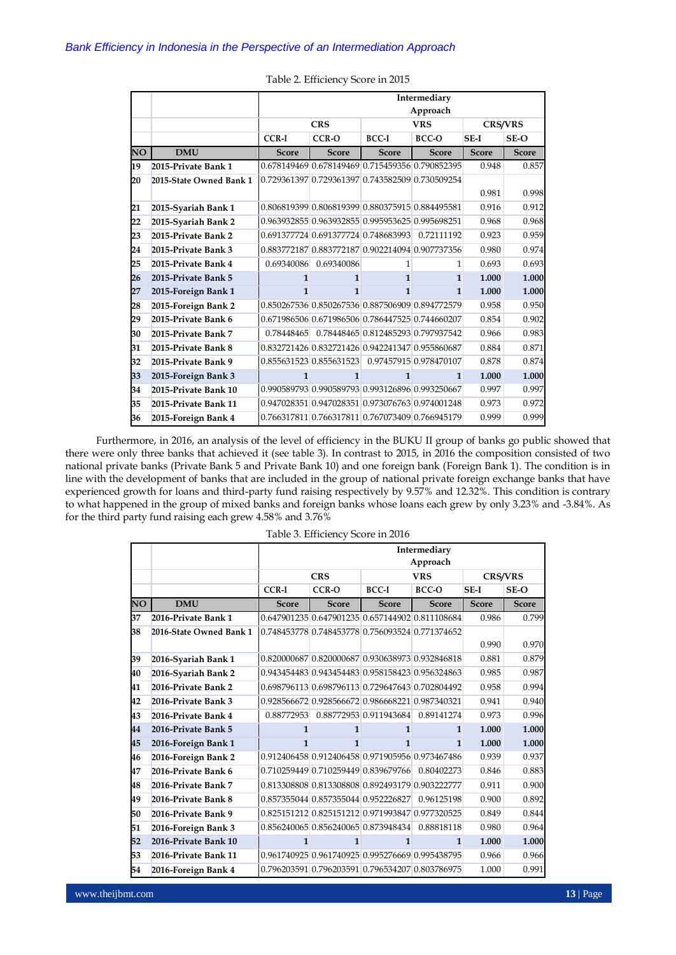|    |                         |              | Intermediary                                    |                                    |              |              |                |  |  |  |  |
|----|-------------------------|--------------|-------------------------------------------------|------------------------------------|--------------|--------------|----------------|--|--|--|--|
|    |                         |              |                                                 |                                    | Approach     |              |                |  |  |  |  |
|    |                         |              | <b>CRS</b><br><b>VRS</b>                        |                                    |              |              | <b>CRS/VRS</b> |  |  |  |  |
|    |                         | CCR-I        | CCR-O                                           | $BCC-I$                            | $BCC-O$      | SE-I         | $SE-O$         |  |  |  |  |
| NO | <b>DMU</b>              | <b>Score</b> | <b>Score</b>                                    | <b>Score</b>                       | <b>Score</b> | <b>Score</b> | <b>Score</b>   |  |  |  |  |
| 19 | 2015-Private Bank 1     |              | 0.678149469 0.678149469 0.715459356 0.790852395 |                                    |              | 0.948        | 0.857          |  |  |  |  |
| 20 | 2015-State Owned Bank 1 |              | 0.729361397 0.729361397 0.743582509 0.730509254 |                                    |              |              |                |  |  |  |  |
|    |                         |              |                                                 |                                    |              | 0.981        | 0.998          |  |  |  |  |
| 21 | 2015-Syariah Bank 1     |              | 0.806819399 0.806819399 0.880375915 0.884495581 |                                    |              | 0.916        | 0.912          |  |  |  |  |
| 22 | 2015-Syariah Bank 2     |              | 0.963932855 0.963932855 0.995953625 0.995698251 |                                    |              | 0.968        | 0.968          |  |  |  |  |
| 23 | 2015-Private Bank 2     |              | 0.691377724 0.691377724 0.748683993             |                                    | 0.72111192   | 0.923        | 0.959          |  |  |  |  |
| 24 | 2015-Private Bank 3     |              | 0.883772187 0.883772187 0.902214094 0.907737356 |                                    |              | 0.980        | 0.974          |  |  |  |  |
| 25 | 2015-Private Bank 4     | 0.69340086   | 0.69340086                                      | 1                                  | 1            | 0.693        | 0.693          |  |  |  |  |
| 26 | 2015-Private Bank 5     | 1            | 1                                               | $\mathbf{1}$                       | $\mathbf{1}$ | 1.000        | 1.000          |  |  |  |  |
| 27 | 2015-Foreign Bank 1     | 1            | 1                                               | 1                                  | $\mathbf{1}$ | 1.000        | 1.000          |  |  |  |  |
| 28 | 2015-Foreign Bank 2     |              | 0.850267536 0.850267536 0.887506909 0.894772579 |                                    |              | 0.958        | 0.950          |  |  |  |  |
| 29 | 2015-Private Bank 6     |              | 0.671986506 0.671986506 0.786447525 0.744660207 |                                    |              | 0.854        | 0.902          |  |  |  |  |
| 30 | 2015-Private Bank 7     | 0.78448465   |                                                 | 0.78448465 0.812485293 0.797937542 |              | 0.966        | 0.983          |  |  |  |  |
| 31 | 2015-Private Bank 8     |              | 0.832721426 0.832721426 0.942241347 0.955860687 |                                    |              | 0.884        | 0.871          |  |  |  |  |
| 32 | 2015-Private Bank 9     |              | 0.855631523 0.855631523 0.97457915 0.978470107  |                                    |              | 0.878        | 0.874          |  |  |  |  |
| 33 | 2015-Foreign Bank 3     | $\mathbf{1}$ | 1                                               | 1                                  | $\mathbf{1}$ | 1.000        | 1.000          |  |  |  |  |
| 34 | 2015-Private Bank 10    |              | 0.990589793 0.990589793 0.993126896 0.993250667 |                                    |              | 0.997        | 0.997          |  |  |  |  |
| 35 | 2015-Private Bank 11    |              | 0.947028351 0.947028351 0.973076763 0.974001248 |                                    |              | 0.973        | 0.972          |  |  |  |  |
| 36 | 2015-Foreign Bank 4     |              | 0.766317811 0.766317811 0.767073409 0.766945179 |                                    |              | 0.999        | 0.999          |  |  |  |  |

|  | Table 2. Efficiency Score in 2015 |  |  |  |
|--|-----------------------------------|--|--|--|
|--|-----------------------------------|--|--|--|

Furthermore, in 2016, an analysis of the level of efficiency in the BUKU II group of banks go public showed that there were only three banks that achieved it (see table 3). In contrast to 2015, in 2016 the composition consisted of two national private banks (Private Bank 5 and Private Bank 10) and one foreign bank (Foreign Bank 1). The condition is in line with the development of banks that are included in the group of national private foreign exchange banks that have experienced growth for loans and third-party fund raising respectively by 9.57% and 12.32%. This condition is contrary to what happened in the group of mixed banks and foreign banks whose loans each grew by only 3.23% and -3.84%. As for the third party fund raising each grew 4.58% and 3.76%

|    |                         | Intermediary |                                                 |                        |              |              |                |  |  |  |
|----|-------------------------|--------------|-------------------------------------------------|------------------------|--------------|--------------|----------------|--|--|--|
|    |                         | Approach     |                                                 |                        |              |              |                |  |  |  |
|    |                         |              | <b>CRS</b>                                      |                        | <b>VRS</b>   |              | <b>CRS/VRS</b> |  |  |  |
|    |                         | <b>CCR-I</b> | CCR-O                                           | <b>BCC-I</b>           | BCC-O        | SE-I         | SE-O           |  |  |  |
| NO | <b>DMU</b>              | <b>Score</b> | <b>Score</b>                                    | <b>Score</b>           | <b>Score</b> | <b>Score</b> | <b>Score</b>   |  |  |  |
| 37 | 2016-Private Bank 1     |              | 0.647901235 0.647901235 0.657144902 0.811108684 |                        |              | 0.986        | 0.799          |  |  |  |
| 38 | 2016-State Owned Bank 1 |              | 0.748453778 0.748453778 0.756093524 0.771374652 |                        |              |              |                |  |  |  |
|    |                         |              |                                                 |                        |              | 0.990        | 0.970          |  |  |  |
| 39 | 2016-Syariah Bank 1     |              | 0.820000687 0.820000687 0.930638973 0.932846818 |                        |              | 0.881        | 0.879          |  |  |  |
| 40 | 2016-Syariah Bank 2     |              | 0.943454483 0.943454483 0.958158423 0.956324863 |                        |              | 0.985        | 0.987          |  |  |  |
| 41 | 2016-Private Bank 2     |              | 0.698796113 0.698796113 0.729647643 0.702804492 |                        |              | 0.958        | 0.994          |  |  |  |
| 42 | 2016-Private Bank 3     |              | 0.928566672 0.928566672 0.986668221 0.987340321 |                        |              | 0.941        | 0.940          |  |  |  |
| 43 | 2016-Private Bank 4     | 0.88772953   |                                                 | 0.88772953 0.911943684 | 0.89141274   | 0.973        | 0.996          |  |  |  |
| 44 | 2016-Private Bank 5     | 1            | 1                                               | $\mathbf{1}$           | $\mathbf{1}$ | 1.000        | 1.000          |  |  |  |
| 45 | 2016-Foreign Bank 1     | 1            | $\mathbf{1}$                                    | $\mathbf{1}$           | 1            | 1.000        | 1.000          |  |  |  |
| 46 | 2016-Foreign Bank 2     |              | 0.912406458 0.912406458 0.971905956 0.973467486 |                        |              | 0.939        | 0.937          |  |  |  |
| 47 | 2016-Private Bank 6     |              | 0.710259449 0.710259449 0.839679766             |                        | 0.80402273   | 0.846        | 0.883          |  |  |  |
| 48 | 2016-Private Bank 7     |              | 0.813308808 0.813308808 0.892493179 0.903222777 |                        |              | 0.911        | 0.900          |  |  |  |
| 49 | 2016-Private Bank 8     |              | 0.857355044 0.857355044 0.952226827             |                        | 0.96125198   | 0.900        | 0.892          |  |  |  |
| 50 | 2016-Private Bank 9     |              | 0.825151212 0.825151212 0.971993847 0.977320525 |                        |              | 0.849        | 0.844          |  |  |  |
| 51 | 2016-Foreign Bank 3     |              | 0.856240065 0.856240065 0.873948434             |                        | 0.88818118   | 0.980        | 0.964          |  |  |  |
| 52 | 2016-Private Bank 10    | $\mathbf{1}$ | $\mathbf{1}$                                    | $\mathbf{1}$           | 1            | 1.000        | 1.000          |  |  |  |
| 53 | 2016-Private Bank 11    |              | 0.961740925 0.961740925 0.995276669 0.995438795 |                        |              | 0.966        | 0.966          |  |  |  |
| 54 | 2016-Foreign Bank 4     |              | 0.796203591 0.796203591 0.796534207 0.803786975 |                        |              | 1.000        | 0.991          |  |  |  |

| Table 3. Efficiency Score in 2016 |  |  |  |
|-----------------------------------|--|--|--|
|-----------------------------------|--|--|--|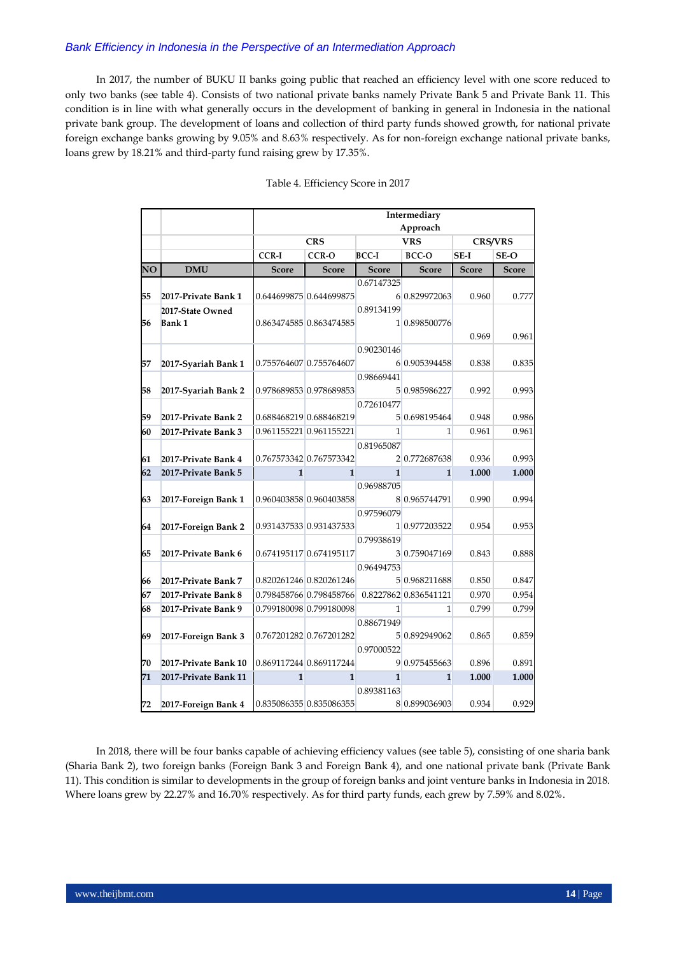In 2017, the number of BUKU II banks going public that reached an efficiency level with one score reduced to only two banks (see table 4). Consists of two national private banks namely Private Bank 5 and Private Bank 11. This condition is in line with what generally occurs in the development of banking in general in Indonesia in the national private bank group. The development of loans and collection of third party funds showed growth, for national private foreign exchange banks growing by 9.05% and 8.63% respectively. As for non-foreign exchange national private banks, loans grew by 18.21% and third-party fund raising grew by 17.35%.

|    |                      | Intermediary |                         |               |                       |                |              |  |  |  |
|----|----------------------|--------------|-------------------------|---------------|-----------------------|----------------|--------------|--|--|--|
|    |                      | Approach     |                         |               |                       |                |              |  |  |  |
|    |                      |              | <b>CRS</b>              |               | <b>VRS</b>            | <b>CRS/VRS</b> |              |  |  |  |
|    |                      | <b>CCR-I</b> | CCR-O                   | <b>BCC-I</b>  | BCC-O                 | $SE-I$         | SE-O         |  |  |  |
| NO | <b>DMU</b>           | Score        | <b>Score</b>            | <b>Score</b>  | <b>Score</b>          | <b>Score</b>   | <b>Score</b> |  |  |  |
|    |                      |              |                         | 0.67147325    |                       |                |              |  |  |  |
| 55 | 2017-Private Bank 1  |              | 0.644699875 0.644699875 |               | 6 0.829972063         | 0.960          | 0.777        |  |  |  |
|    | 2017-State Owned     |              |                         | 0.89134199    |                       |                |              |  |  |  |
| 56 | <b>Bank 1</b>        |              | 0.863474585 0.863474585 | 1 0.898500776 |                       |                |              |  |  |  |
|    |                      |              |                         |               |                       | 0.969          | 0.961        |  |  |  |
|    |                      |              |                         | 0.90230146    |                       |                |              |  |  |  |
| 57 | 2017-Syariah Bank 1  |              | 0.755764607 0.755764607 |               | 6 0.905394458         | 0.838          | 0.835        |  |  |  |
|    |                      |              |                         | 0.98669441    |                       |                |              |  |  |  |
| 58 | 2017-Syariah Bank 2  |              | 0.978689853 0.978689853 |               | 5 0.985986227         | 0.992          | 0.993        |  |  |  |
|    |                      |              |                         | 0.72610477    |                       |                |              |  |  |  |
| 59 | 2017-Private Bank 2  |              | 0.688468219 0.688468219 |               | 5 0.698195464         | 0.948          | 0.986        |  |  |  |
| 60 | 2017-Private Bank 3  |              | 0.961155221 0.961155221 | $\mathbf{1}$  | 1                     | 0.961          | 0.961        |  |  |  |
|    |                      |              |                         | 0.81965087    |                       |                |              |  |  |  |
| 61 | 2017-Private Bank 4  |              | 0.767573342 0.767573342 |               | 2 0.772687638         | 0.936          | 0.993        |  |  |  |
| 62 | 2017-Private Bank 5  | $\mathbf{1}$ | $\mathbf{1}$            | $\mathbf{1}$  | $\mathbf{1}$          | 1.000          | 1.000        |  |  |  |
|    |                      |              |                         | 0.96988705    |                       |                |              |  |  |  |
| 63 | 2017-Foreign Bank 1  |              | 0.960403858 0.960403858 |               | 8 0.965744791         | 0.990          | 0.994        |  |  |  |
|    |                      |              |                         | 0.97596079    |                       |                |              |  |  |  |
| 64 | 2017-Foreign Bank 2  |              | 0.931437533 0.931437533 |               | 1 0.977203522         | 0.954          | 0.953        |  |  |  |
|    |                      |              |                         | 0.79938619    |                       |                |              |  |  |  |
| 65 | 2017-Private Bank 6  |              | 0.674195117 0.674195117 |               | 3 0.759047169         | 0.843          | 0.888        |  |  |  |
|    |                      |              |                         | 0.96494753    |                       |                |              |  |  |  |
| 66 | 2017-Private Bank 7  |              | 0.820261246 0.820261246 |               | 5 0.968211688         | 0.850          | 0.847        |  |  |  |
| 67 | 2017-Private Bank 8  |              | 0.798458766 0.798458766 |               | 0.8227862 0.836541121 | 0.970          | 0.954        |  |  |  |
| 68 | 2017-Private Bank 9  |              | 0.799180098 0.799180098 | 1             | 1                     | 0.799          | 0.799        |  |  |  |
|    |                      |              |                         | 0.88671949    |                       |                |              |  |  |  |
| 69 | 2017-Foreign Bank 3  |              | 0.767201282 0.767201282 |               | 5 0.892949062         | 0.865          | 0.859        |  |  |  |
|    |                      |              |                         | 0.97000522    |                       |                |              |  |  |  |
| 70 | 2017-Private Bank 10 |              | 0.869117244 0.869117244 |               | 9 0.975455663         |                | 0.891        |  |  |  |
| 71 | 2017-Private Bank 11 | $\mathbf{1}$ | 1                       | $\mathbf{1}$  | $\mathbf{1}$          | 1.000          | 1.000        |  |  |  |
|    |                      |              |                         | 0.89381163    |                       |                |              |  |  |  |
| 72 | 2017-Foreign Bank 4  |              | 0.835086355 0.835086355 |               | 8 0.899036903         | 0.934          | 0.929        |  |  |  |

#### Table 4. Efficiency Score in 2017

In 2018, there will be four banks capable of achieving efficiency values (see table 5), consisting of one sharia bank (Sharia Bank 2), two foreign banks (Foreign Bank 3 and Foreign Bank 4), and one national private bank (Private Bank 11). This condition is similar to developments in the group of foreign banks and joint venture banks in Indonesia in 2018. Where loans grew by 22.27% and 16.70% respectively. As for third party funds, each grew by 7.59% and 8.02%.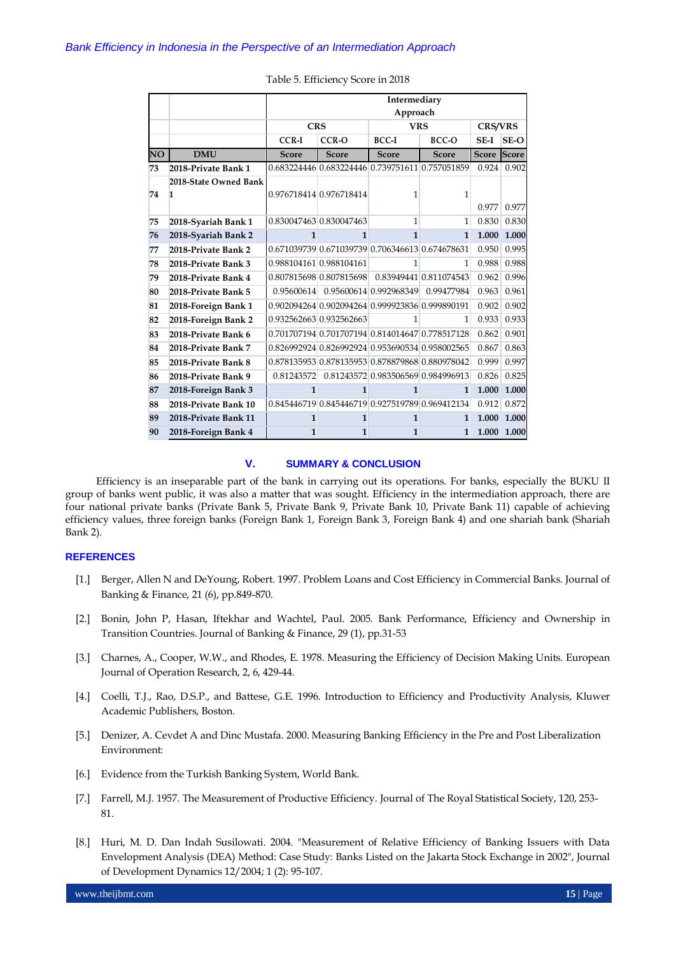|    |                            | Intermediary<br>Approach |                                                 |                        |                                                 |             |             |  |  |  |
|----|----------------------------|--------------------------|-------------------------------------------------|------------------------|-------------------------------------------------|-------------|-------------|--|--|--|
|    |                            |                          | <b>CRS</b><br><b>VRS</b>                        |                        |                                                 |             |             |  |  |  |
|    |                            | <b>CCR-I</b>             | $CCR-O$                                         | $BCC-I$                | BCC-O                                           | SE-I        | SE-O        |  |  |  |
| NO | <b>DMU</b>                 | <b>Score</b>             | <b>Score</b>                                    | <b>Score</b>           | <b>Score</b>                                    | Score Score |             |  |  |  |
| 73 | 2018-Private Bank 1        |                          |                                                 |                        | 0.683224446 0.683224446 0.739751611 0.757051859 |             | 0.924 0.902 |  |  |  |
| 74 | 2018-State Owned Bank<br>1 |                          | 0.976718414 0.976718414                         | 1                      | $\mathbf{1}$                                    | 0.977       | 0.977       |  |  |  |
| 75 | 2018-Syariah Bank 1        |                          | 0.830047463 0.830047463                         | $\mathbf{1}$           | 1                                               | 0.830       | 0.830       |  |  |  |
| 76 | 2018-Svariah Bank 2        | 1                        | 1                                               | $\mathbf{1}$           | $\mathbf{1}$                                    | 1.000       | 1.000       |  |  |  |
| 77 | 2018-Private Bank 2        |                          | 0.671039739 0.671039739 0.706346613 0.674678631 |                        |                                                 | 0.950       | 0.995       |  |  |  |
| 78 | 2018-Private Bank 3        |                          | 0.988104161 0.988104161                         | 1                      | 1                                               | 0.988       | 0.988       |  |  |  |
| 79 | 2018-Private Bank 4        |                          | 0.807815698 0.807815698 0.83949441 0.811074543  |                        |                                                 | 0.962       | 0.996       |  |  |  |
| 80 | 2018-Private Bank 5        | 0.95600614               |                                                 | 0.95600614 0.992968349 | 0.99477984                                      | 0.963       | 0.961       |  |  |  |
| 81 | 2018-Foreign Bank 1        |                          | 0.902094264 0.902094264 0.999923836 0.999890191 |                        |                                                 | 0.902       | 0.902       |  |  |  |
| 82 | 2018-Foreign Bank 2        |                          | 0.932562663 0.932562663                         | 1                      | 1                                               | 0.933       | 0.933       |  |  |  |
| 83 | 2018-Private Bank 6        |                          |                                                 |                        | 0.701707194 0.701707194 0.814014647 0.778517128 | 0.862       | 0.901       |  |  |  |
| 84 | 2018-Private Bank 7        |                          | 0.826992924 0.826992924 0.953690534 0.958002565 |                        |                                                 | 0.867       | 0.863       |  |  |  |
| 85 | 2018-Private Bank 8        |                          |                                                 |                        | 0.878135953 0.878135953 0.878879868 0.880978042 | 0.999       | 0.997       |  |  |  |
| 86 | 2018-Private Bank 9        | 0.81243572               |                                                 |                        | 0.81243572 0.983506569 0.984996913              | 0.826       | 0.825       |  |  |  |
| 87 | 2018-Foreign Bank 3        | 1                        | 1                                               | $\mathbf{1}$           | $\mathbf{1}$                                    | 1.000       | 1.000       |  |  |  |
| 88 | 2018-Private Bank 10       |                          |                                                 |                        | 0.845446719 0.845446719 0.927519789 0.969412134 | 0.912       | 0.872       |  |  |  |
| 89 | 2018-Private Bank 11       | $\mathbf{1}$             | $\mathbf{1}$                                    | $\mathbf{1}$           | $\mathbf{1}$                                    | 1.000       | 1.000       |  |  |  |
| 90 | 2018-Foreign Bank 4        | $\mathbf{1}$             | 1                                               | $\mathbf{1}$           | $\mathbf{1}$                                    | 1.000       | 1.000       |  |  |  |

#### Table 5. Efficiency Score in 2018

#### **V. SUMMARY & CONCLUSION**

Efficiency is an inseparable part of the bank in carrying out its operations. For banks, especially the BUKU II group of banks went public, it was also a matter that was sought. Efficiency in the intermediation approach, there are four national private banks (Private Bank 5, Private Bank 9, Private Bank 10, Private Bank 11) capable of achieving efficiency values, three foreign banks (Foreign Bank 1, Foreign Bank 3, Foreign Bank 4) and one shariah bank (Shariah Bank 2).

#### **REFERENCES**

- [1.] Berger, Allen N and DeYoung, Robert. 1997. Problem Loans and Cost Efficiency in Commercial Banks. Journal of Banking & Finance, 21 (6), pp.849-870.
- [2.] Bonin, John P, Hasan, Iftekhar and Wachtel, Paul. 2005. Bank Performance, Efficiency and Ownership in Transition Countries. Journal of Banking & Finance, 29 (1), pp.31-53
- [3.] Charnes, A., Cooper, W.W., and Rhodes, E. 1978. Measuring the Efficiency of Decision Making Units. European Journal of Operation Research, 2, 6, 429-44.
- [4.] Coelli, T.J., Rao, D.S.P., and Battese, G.E. 1996. Introduction to Efficiency and Productivity Analysis, Kluwer Academic Publishers, Boston.
- [5.] Denizer, A. Cevdet A and Dinc Mustafa. 2000. Measuring Banking Efficiency in the Pre and Post Liberalization Environment:
- [6.] Evidence from the Turkish Banking System, World Bank.
- [7.] Farrell, M.J. 1957. The Measurement of Productive Efficiency. Journal of The Royal Statistical Society, 120, 253-81.
- [8.] Huri, M. D. Dan Indah Susilowati. 2004. "Measurement of Relative Efficiency of Banking Issuers with Data Envelopment Analysis (DEA) Method: Case Study: Banks Listed on the Jakarta Stock Exchange in 2002", Journal of Development Dynamics 12/2004; 1 (2): 95-107.